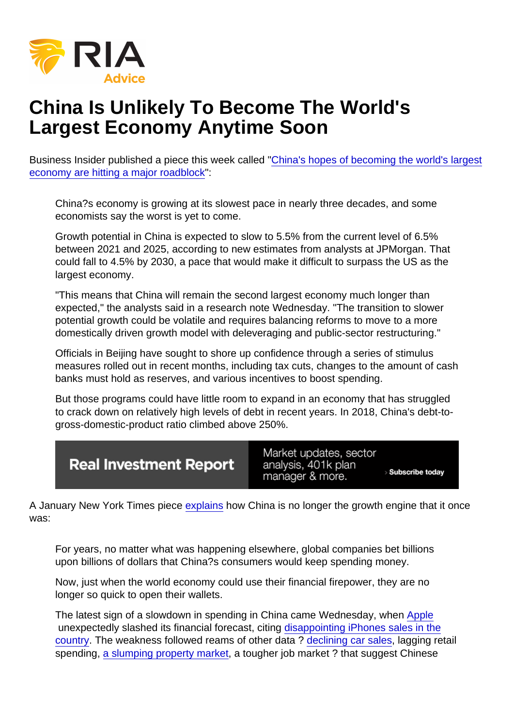## China Is Unlikely To Become The World's Largest Economy Anytime Soon

Business Insider published a piece this week called ["China's hopes of becoming the world's largest](https://markets.businessinsider.com/news/stocks/chinas-hope-to-become-worlds-largest-economy-hitting-major-roadblock-2019-2-1027931209) [economy are hitting a major roadblock](https://markets.businessinsider.com/news/stocks/chinas-hope-to-become-worlds-largest-economy-hitting-major-roadblock-2019-2-1027931209)":

China?s economy is growing at its slowest pace in nearly three decades, and some economists say the worst is yet to come.

Growth potential in China is expected to slow to 5.5% from the current level of 6.5% between 2021 and 2025, according to new estimates from analysts at JPMorgan. That could fall to 4.5% by 2030, a pace that would make it difficult to surpass the US as the largest economy.

"This means that China will remain the second largest economy much longer than expected," the analysts said in a research note Wednesday. "The transition to slower potential growth could be volatile and requires balancing reforms to move to a more domestically driven growth model with deleveraging and public-sector restructuring."

Officials in Beijing have sought to shore up confidence through a series of stimulus measures rolled out in recent months, including tax cuts, changes to the amount of cash banks must hold as reserves, and various incentives to boost spending.

But those programs could have little room to expand in an economy that has struggled to crack down on relatively high levels of debt in recent years. In 2018, China's debt-togross-domestic-product ratio climbed above 250%.

A January New York Times piece [explains](https://www.nytimes.com/2019/01/03/business/china-consumer-economy-apple-iphone.html) how China is no longer the growth engine that it once was:

For years, no matter what was happening elsewhere, global companies bet billions upon billions of dollars that China?s consumers would keep spending money.

Now, just when the world economy could use their financial firepower, they are no longer so quick to open their wallets.

The latest sign of a slowdown in spending in China came Wednesday, when [Apple](https://realinvestmentadvice.com/stock/aapl) unexpectedly slashed its financial forecast, citing [disappointing iPhones sales in the](https://www.nytimes.com/2019/01/02/technology/apple-revenue-decline-china.html?module=inline) [country](https://www.nytimes.com/2019/01/02/technology/apple-revenue-decline-china.html?module=inline). The weakness followed reams of other data ? [declining car sales](http://www.chinadaily.com.cn/a/201812/11/WS5c0f8bfaa310eff303290688.html), lagging retail spending, [a slumping property market,](https://www.nytimes.com/2018/12/30/business/china-economy-property.html?module=inline) a tougher job market ? that suggest Chinese